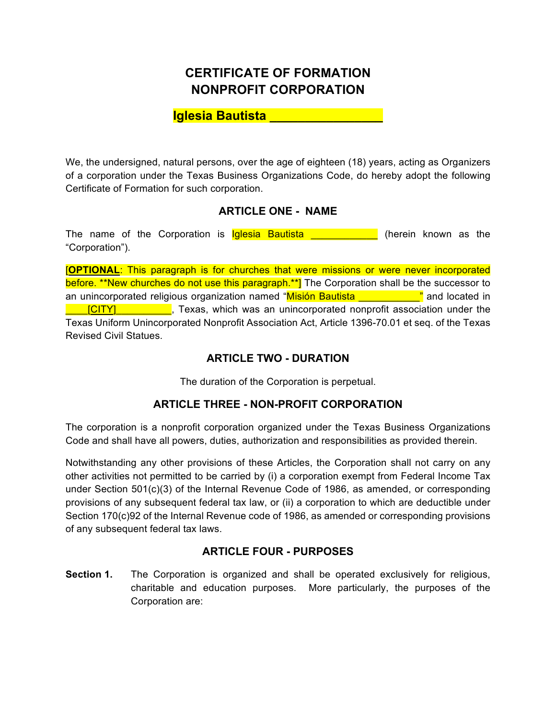# **CERTIFICATE OF FORMATION NONPROFIT CORPORATION**

# **Iglesia Bautista \_\_\_\_\_\_\_\_\_\_\_\_\_\_\_\_**

We, the undersigned, natural persons, over the age of eighteen (18) years, acting as Organizers of a corporation under the Texas Business Organizations Code, do hereby adopt the following Certificate of Formation for such corporation.

## **ARTICLE ONE - NAME**

The name of the Corporation is **Iglesia Bautista Example 1** (herein known as the "Corporation").

[**OPTIONAL**: This paragraph is for churches that were missions or were never incorporated before. \*\*New churches do not use this paragraph.\*\*] The Corporation shall be the successor to an unincorporated religious organization named "Misión Bautista **Lage Lage 19** and located in **LACCITY] Exas, which was an unincorporated nonprofit association under the** Texas Uniform Unincorporated Nonprofit Association Act, Article 1396-70.01 et seq. of the Texas Revised Civil Statues.

## **ARTICLE TWO - DURATION**

The duration of the Corporation is perpetual.

## **ARTICLE THREE - NON-PROFIT CORPORATION**

The corporation is a nonprofit corporation organized under the Texas Business Organizations Code and shall have all powers, duties, authorization and responsibilities as provided therein.

Notwithstanding any other provisions of these Articles, the Corporation shall not carry on any other activities not permitted to be carried by (i) a corporation exempt from Federal Income Tax under Section 501(c)(3) of the Internal Revenue Code of 1986, as amended, or corresponding provisions of any subsequent federal tax law, or (ii) a corporation to which are deductible under Section 170(c)92 of the Internal Revenue code of 1986, as amended or corresponding provisions of any subsequent federal tax laws.

## **ARTICLE FOUR - PURPOSES**

**Section 1.** The Corporation is organized and shall be operated exclusively for religious, charitable and education purposes. More particularly, the purposes of the Corporation are: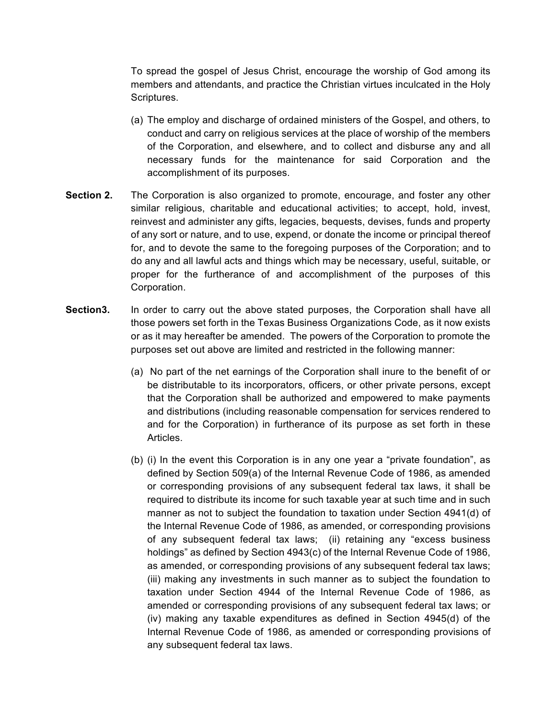To spread the gospel of Jesus Christ, encourage the worship of God among its members and attendants, and practice the Christian virtues inculcated in the Holy Scriptures.

- (a) The employ and discharge of ordained ministers of the Gospel, and others, to conduct and carry on religious services at the place of worship of the members of the Corporation, and elsewhere, and to collect and disburse any and all necessary funds for the maintenance for said Corporation and the accomplishment of its purposes.
- **Section 2.** The Corporation is also organized to promote, encourage, and foster any other similar religious, charitable and educational activities; to accept, hold, invest, reinvest and administer any gifts, legacies, bequests, devises, funds and property of any sort or nature, and to use, expend, or donate the income or principal thereof for, and to devote the same to the foregoing purposes of the Corporation; and to do any and all lawful acts and things which may be necessary, useful, suitable, or proper for the furtherance of and accomplishment of the purposes of this Corporation.
- **Section3.** In order to carry out the above stated purposes, the Corporation shall have all those powers set forth in the Texas Business Organizations Code, as it now exists or as it may hereafter be amended. The powers of the Corporation to promote the purposes set out above are limited and restricted in the following manner:
	- (a) No part of the net earnings of the Corporation shall inure to the benefit of or be distributable to its incorporators, officers, or other private persons, except that the Corporation shall be authorized and empowered to make payments and distributions (including reasonable compensation for services rendered to and for the Corporation) in furtherance of its purpose as set forth in these Articles.
	- (b) (i) In the event this Corporation is in any one year a "private foundation", as defined by Section 509(a) of the Internal Revenue Code of 1986, as amended or corresponding provisions of any subsequent federal tax laws, it shall be required to distribute its income for such taxable year at such time and in such manner as not to subject the foundation to taxation under Section 4941(d) of the Internal Revenue Code of 1986, as amended, or corresponding provisions of any subsequent federal tax laws; (ii) retaining any "excess business holdings" as defined by Section 4943(c) of the Internal Revenue Code of 1986, as amended, or corresponding provisions of any subsequent federal tax laws; (iii) making any investments in such manner as to subject the foundation to taxation under Section 4944 of the Internal Revenue Code of 1986, as amended or corresponding provisions of any subsequent federal tax laws; or (iv) making any taxable expenditures as defined in Section 4945(d) of the Internal Revenue Code of 1986, as amended or corresponding provisions of any subsequent federal tax laws.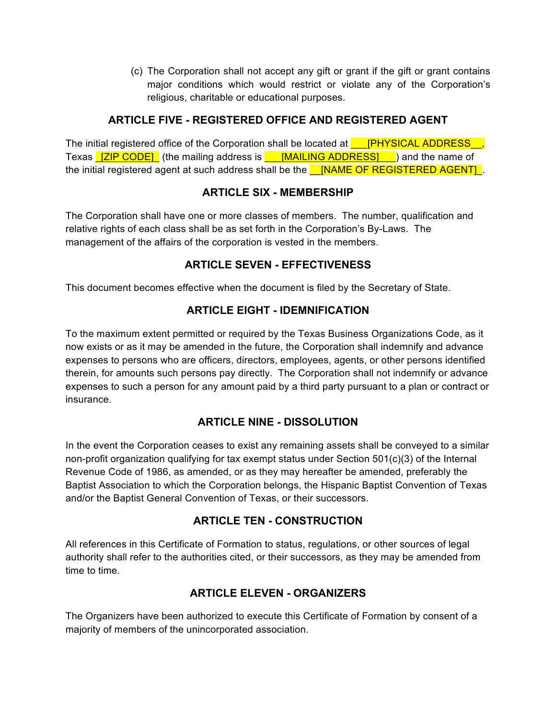(c) The Corporation shall not accept any gift or grant if the gift or grant contains major conditions which would restrict or violate any of the Corporation's religious, charitable or educational purposes.

## **ARTICLE FIVE - REGISTERED OFFICE AND REGISTERED AGENT**

The initial registered office of the Corporation shall be located at **\_\_\_[PHYSICAL ADDRESS\_\_,** Texas **[ZIP CODE]** (the mailing address is **FIMAILING ADDRESS]** and the name of the initial registered agent at such address shall be the **NAME OF REGISTERED AGENT** 

#### **ARTICLE SIX - MEMBERSHIP**

The Corporation shall have one or more classes of members. The number, qualification and relative rights of each class shall be as set forth in the Corporation's By-Laws. The management of the affairs of the corporation is vested in the members.

# **ARTICLE SEVEN - EFFECTIVENESS**

This document becomes effective when the document is filed by the Secretary of State.

# **ARTICLE EIGHT - IDEMNIFICATION**

To the maximum extent permitted or required by the Texas Business Organizations Code, as it now exists or as it may be amended in the future, the Corporation shall indemnify and advance expenses to persons who are officers, directors, employees, agents, or other persons identified therein, for amounts such persons pay directly. The Corporation shall not indemnify or advance expenses to such a person for any amount paid by a third party pursuant to a plan or contract or insurance.

## **ARTICLE NINE - DISSOLUTION**

In the event the Corporation ceases to exist any remaining assets shall be conveyed to a similar non-profit organization qualifying for tax exempt status under Section 501(c)(3) of the Internal Revenue Code of 1986, as amended, or as they may hereafter be amended, preferably the Baptist Association to which the Corporation belongs, the Hispanic Baptist Convention of Texas and/or the Baptist General Convention of Texas, or their successors.

## **ARTICLE TEN - CONSTRUCTION**

All references in this Certificate of Formation to status, regulations, or other sources of legal authority shall refer to the authorities cited, or their successors, as they may be amended from time to time.

# **ARTICLE ELEVEN - ORGANIZERS**

The Organizers have been authorized to execute this Certificate of Formation by consent of a majority of members of the unincorporated association.